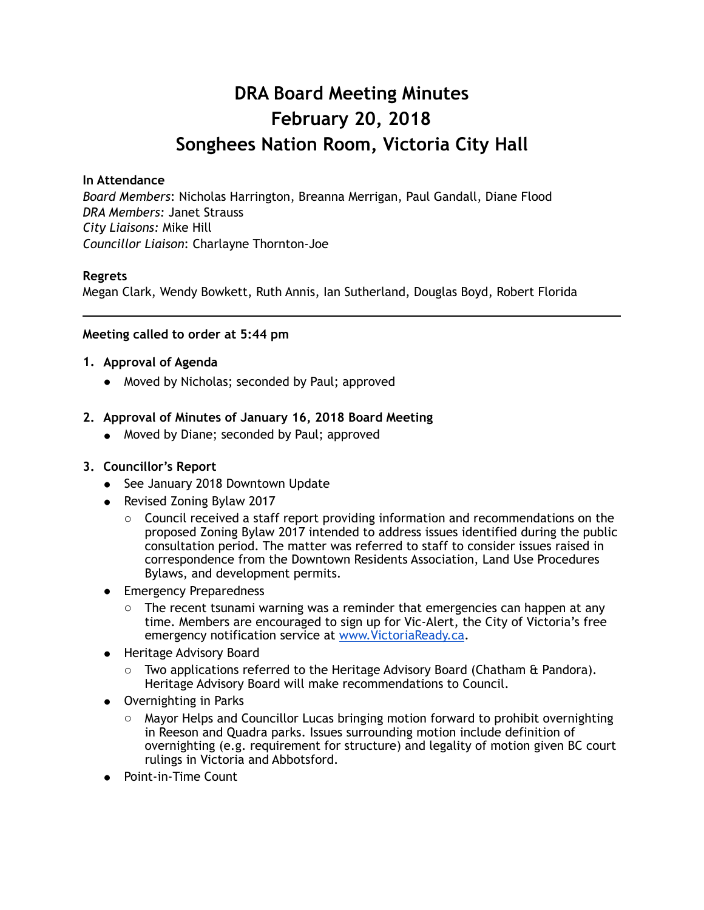## **DRA Board Meeting Minutes February 20, 2018 Songhees Nation Room, Victoria City Hall**

#### **In Attendance**

*Board Members*: Nicholas Harrington, Breanna Merrigan, Paul Gandall, Diane Flood *DRA Members:* Janet Strauss *City Liaisons:* Mike Hill *Councillor Liaison*: Charlayne Thornton-Joe

#### **Regrets**

Megan Clark, Wendy Bowkett, Ruth Annis, Ian Sutherland, Douglas Boyd, Robert Florida

#### **Meeting called to order at 5:44 pm**

#### **1. Approval of Agenda**

• Moved by Nicholas; seconded by Paul; approved

#### **2. Approval of Minutes of January 16, 2018 Board Meeting**

• Moved by Diane; seconded by Paul; approved

#### **3. Councillor's Report**

- See January 2018 Downtown Update
- Revised Zoning Bylaw 2017
	- $\circ$  Council received a staff report providing information and recommendations on the proposed Zoning Bylaw 2017 intended to address issues identified during the public consultation period. The matter was referred to staff to consider issues raised in correspondence from the Downtown Residents Association, Land Use Procedures Bylaws, and development permits.
- Emergency Preparedness
	- $\circ$  The recent tsunami warning was a reminder that emergencies can happen at any time. Members are encouraged to sign up for Vic-Alert, the City of Victoria's free emergency notification service at [www.VictoriaReady.ca](http://www.victoriaready.ca).
- **.** Heritage Advisory Board
	- $\circ$  Two applications referred to the Heritage Advisory Board (Chatham & Pandora). Heritage Advisory Board will make recommendations to Council.
- Overnighting in Parks
	- $\circ$  Mayor Helps and Councillor Lucas bringing motion forward to prohibit overnighting in Reeson and Quadra parks. Issues surrounding motion include definition of overnighting (e.g. requirement for structure) and legality of motion given BC court rulings in Victoria and Abbotsford.
- **Point-in-Time Count**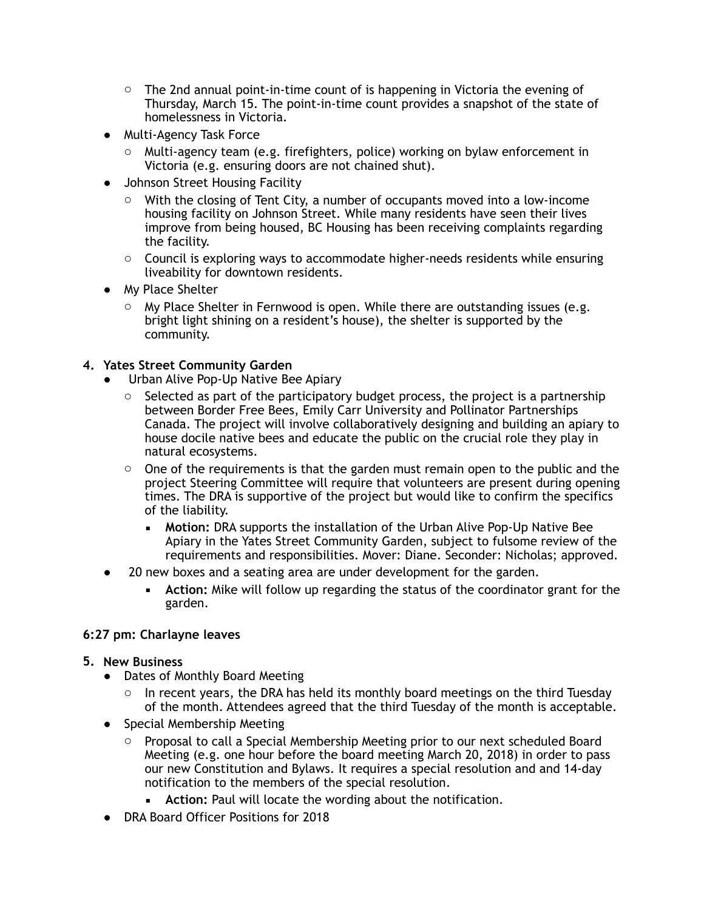- $\circ$  The 2nd annual point-in-time count of is happening in Victoria the evening of Thursday, March 15. The point-in-time count provides a snapshot of the state of homelessness in Victoria.
- ! Multi-Agency Task Force
	- o Multi-agency team (e.g. firefighters, police) working on bylaw enforcement in Victoria (e.g. ensuring doors are not chained shut).
- **Johnson Street Housing Facility** 
	- o With the closing of Tent City, a number of occupants moved into a low-income housing facility on Johnson Street. While many residents have seen their lives improve from being housed, BC Housing has been receiving complaints regarding the facility.
	- o Council is exploring ways to accommodate higher-needs residents while ensuring liveability for downtown residents.
- My Place Shelter
	- $\circ$  My Place Shelter in Fernwood is open. While there are outstanding issues (e.g. bright light shining on a resident's house), the shelter is supported by the community.

#### **4. Yates Street Community Garden**

- Urban Alive Pop-Up Native Bee Apiary
	- $\circ$  Selected as part of the participatory budget process, the project is a partnership between Border Free Bees, Emily Carr University and Pollinator Partnerships Canada. The project will involve collaboratively designing and building an apiary to house docile native bees and educate the public on the crucial role they play in natural ecosystems.
	- $\circ$  One of the requirements is that the garden must remain open to the public and the project Steering Committee will require that volunteers are present during opening times. The DRA is supportive of the project but would like to confirm the specifics of the liability.
		- **Motion:** DRA supports the installation of the Urban Alive Pop-Up Native Bee Apiary in the Yates Street Community Garden, subject to fulsome review of the requirements and responsibilities. Mover: Diane. Seconder: Nicholas; approved.
- 20 new boxes and a seating area are under development for the garden.
	- **EXECT** Action: Mike will follow up regarding the status of the coordinator grant for the garden.

#### **6:27 pm: Charlayne leaves**

#### **5. New Business**

- Dates of Monthly Board Meeting
	- $\circ$  In recent years, the DRA has held its monthly board meetings on the third Tuesday of the month. Attendees agreed that the third Tuesday of the month is acceptable.
- Special Membership Meeting
	- $\circ$  Proposal to call a Special Membership Meeting prior to our next scheduled Board Meeting (e.g. one hour before the board meeting March 20, 2018) in order to pass our new Constitution and Bylaws. It requires a special resolution and and 14-day notification to the members of the special resolution.
		- Action: Paul will locate the wording about the notification.
- DRA Board Officer Positions for 2018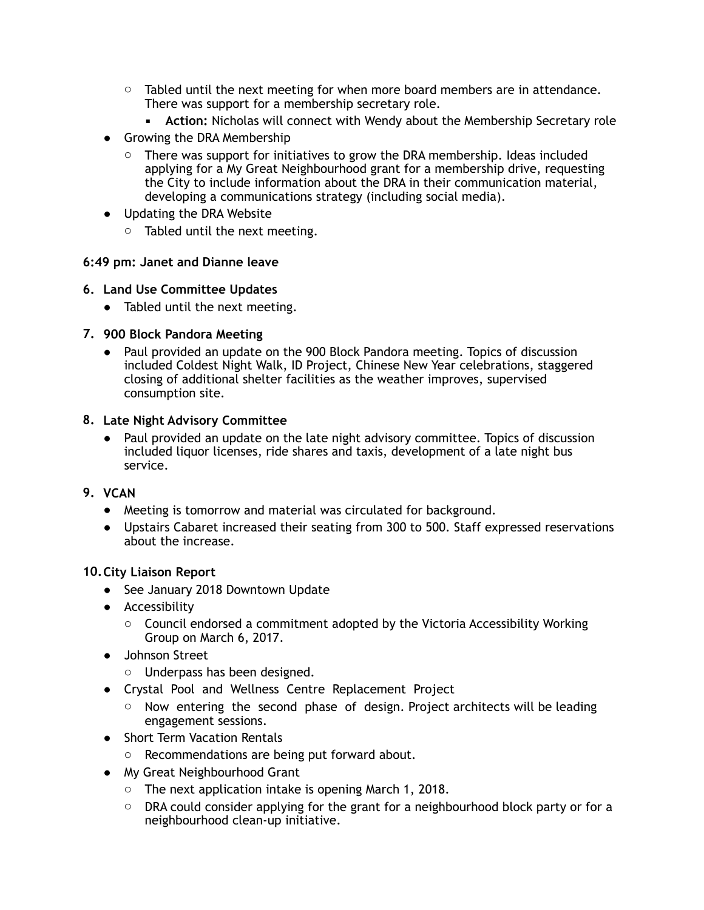- $\circ$  Tabled until the next meeting for when more board members are in attendance. There was support for a membership secretary role.
	- **EXECT** Action: Nicholas will connect with Wendy about the Membership Secretary role
- Growing the DRA Membership
	- $\circ$  There was support for initiatives to grow the DRA membership. Ideas included applying for a My Great Neighbourhood grant for a membership drive, requesting the City to include information about the DRA in their communication material, developing a communications strategy (including social media).
- Updating the DRA Website
	- o Tabled until the next meeting.

#### **6:49 pm: Janet and Dianne leave**

#### **6. Land Use Committee Updates**

• Tabled until the next meeting.

#### **7. 900 Block Pandora Meeting**

• Paul provided an update on the 900 Block Pandora meeting. Topics of discussion included Coldest Night Walk, ID Project, Chinese New Year celebrations, staggered closing of additional shelter facilities as the weather improves, supervised consumption site.

#### **8. Late Night Advisory Committee**

• Paul provided an update on the late night advisory committee. Topics of discussion included liquor licenses, ride shares and taxis, development of a late night bus service.

#### **9. VCAN**

- Meeting is tomorrow and material was circulated for background.
- Upstairs Cabaret increased their seating from 300 to 500. Staff expressed reservations about the increase.

#### **10.City Liaison Report**

- See January 2018 Downtown Update
- Accessibility
	- $\circ$  Council endorsed a commitment adopted by the Victoria Accessibility Working Group on March 6, 2017.
- Johnson Street
	- o Underpass has been designed.
- Crystal Pool and Wellness Centre Replacement Project
	- $\circ$  Now entering the second phase of design. Project architects will be leading engagement sessions.
- Short Term Vacation Rentals
	- o Recommendations are being put forward about.
- My Great Neighbourhood Grant
	- $\circ$  The next application intake is opening March 1, 2018.
	- $\circ$  DRA could consider applying for the grant for a neighbourhood block party or for a neighbourhood clean-up initiative.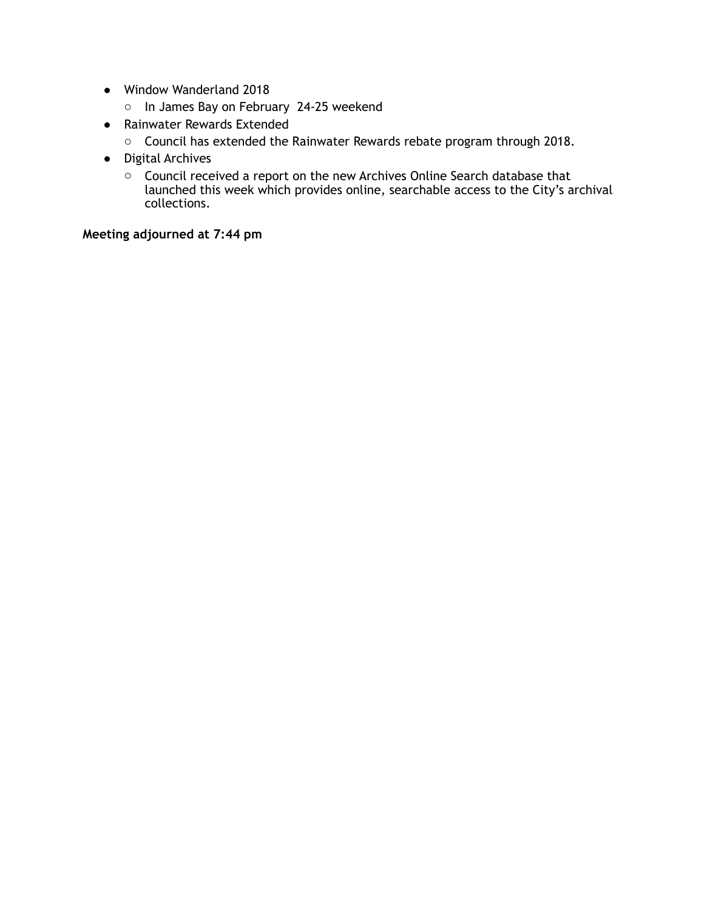- Window Wanderland 2018
	- o In James Bay on February 24-25 weekend
- Rainwater Rewards Extended
	- o Council has extended the Rainwater Rewards rebate program through 2018.
- Digital Archives
	- o Council received a report on the new Archives Online Search database that launched this week which provides online, searchable access to the City's archival collections.

#### **Meeting adjourned at 7:44 pm**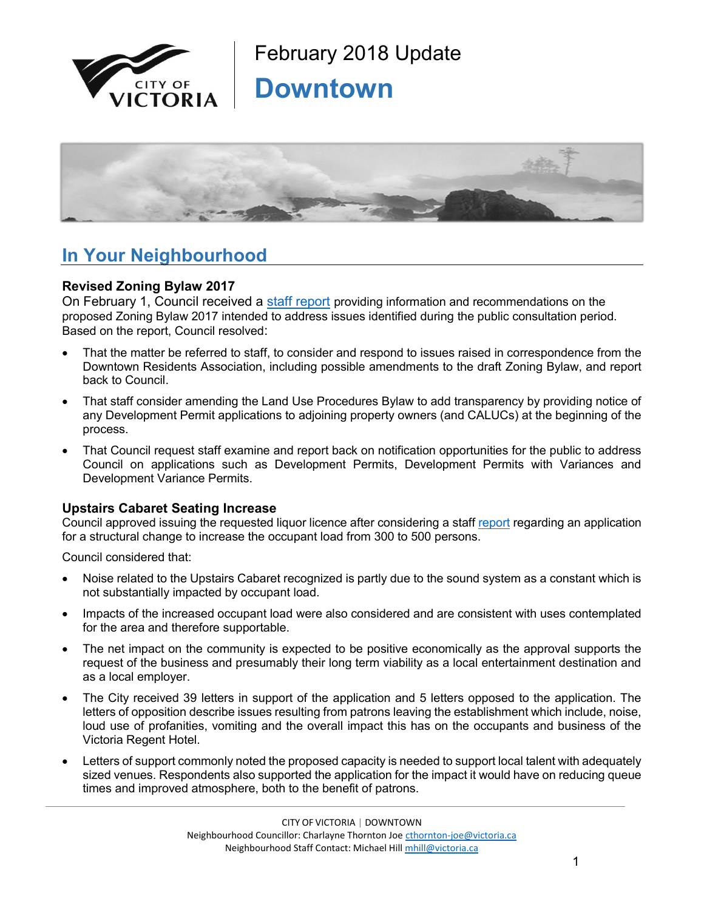



### **In Your Neighbourhood**

#### **Revised Zoning Bylaw 2017**

On February 1, Council received a [staff report](https://victoria.civicweb.net/FileStorage/FAEBD323742D45CC9E5958069CFA2A07-Report_Zoning%20Bylaw%202017.pdf) providing information and recommendations on the proposed Zoning Bylaw 2017 intended to address issues identified during the public consultation period. Based on the report, Council resolved:

- That the matter be referred to staff, to consider and respond to issues raised in correspondence from the Downtown Residents Association, including possible amendments to the draft Zoning Bylaw, and report back to Council.
- That staff consider amending the Land Use Procedures Bylaw to add transparency by providing notice of any Development Permit applications to adjoining property owners (and CALUCs) at the beginning of the process.
- That Council request staff examine and report back on notification opportunities for the public to address Council on applications such as Development Permits, Development Permits with Variances and Development Variance Permits.

#### **Upstairs Cabaret Seating Increase**

Council approved issuing the requested liquor licence after considering a staff [report](https://victoria.civicweb.net/FileStorage/AC3DF5A3756F450B96EEC9F3EA4E072E-Application%20for%20a%20Structural%20Change%20to%20Increase%20th.PDF) regarding an application for a structural change to increase the occupant load from 300 to 500 persons.

Council considered that:

- Noise related to the Upstairs Cabaret recognized is partly due to the sound system as a constant which is not substantially impacted by occupant load.
- Impacts of the increased occupant load were also considered and are consistent with uses contemplated for the area and therefore supportable.
- The net impact on the community is expected to be positive economically as the approval supports the request of the business and presumably their long term viability as a local entertainment destination and as a local employer.
- The City received 39 letters in support of the application and 5 letters opposed to the application. The letters of opposition describe issues resulting from patrons leaving the establishment which include, noise, loud use of profanities, vomiting and the overall impact this has on the occupants and business of the Victoria Regent Hotel.
- Letters of support commonly noted the proposed capacity is needed to support local talent with adequately sized venues. Respondents also supported the application for the impact it would have on reducing queue times and improved atmosphere, both to the benefit of patrons.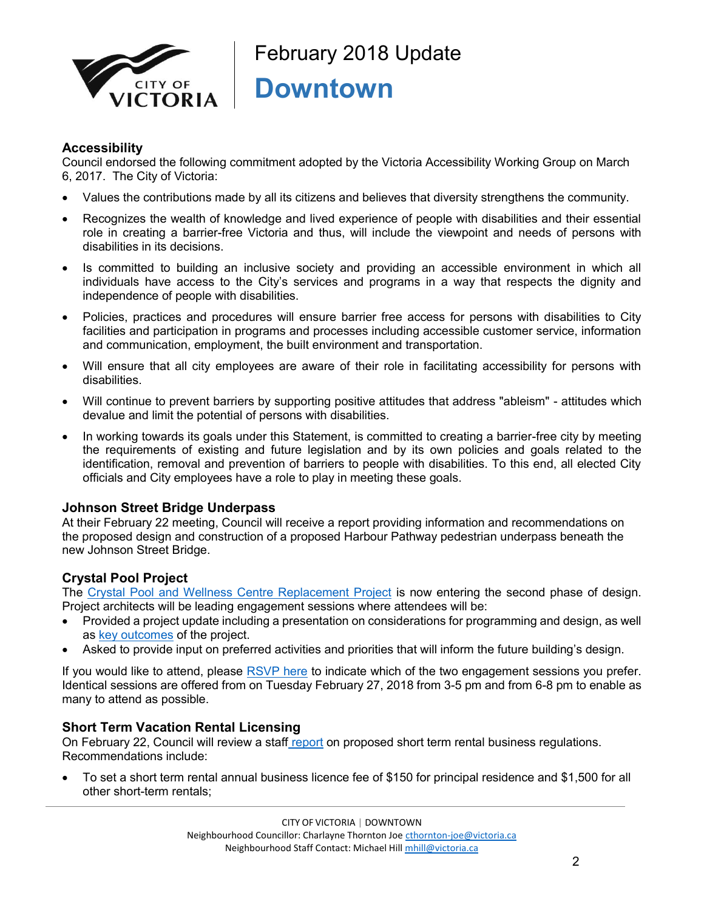

#### **Accessibility**

Council endorsed the following commitment adopted by the Victoria Accessibility Working Group on March 6, 2017. The City of Victoria:

- x Values the contributions made by all its citizens and believes that diversity strengthens the community.
- Recognizes the wealth of knowledge and lived experience of people with disabilities and their essential role in creating a barrier-free Victoria and thus, will include the viewpoint and needs of persons with disabilities in its decisions.
- Is committed to building an inclusive society and providing an accessible environment in which all individuals have access to the City's services and programs in a way that respects the dignity and independence of people with disabilities.
- Policies, practices and procedures will ensure barrier free access for persons with disabilities to City facilities and participation in programs and processes including accessible customer service, information and communication, employment, the built environment and transportation.
- Will ensure that all city employees are aware of their role in facilitating accessibility for persons with disabilities.
- Will continue to prevent barriers by supporting positive attitudes that address "ableism" attitudes which devalue and limit the potential of persons with disabilities.
- In working towards its goals under this Statement, is committed to creating a barrier-free city by meeting the requirements of existing and future legislation and by its own policies and goals related to the identification, removal and prevention of barriers to people with disabilities. To this end, all elected City officials and City employees have a role to play in meeting these goals.

#### **Johnson Street Bridge Underpass**

At their February 22 meeting, Council will receive a report providing information and recommendations on the proposed design and construction of a proposed Harbour Pathway pedestrian underpass beneath the new Johnson Street Bridge.

#### **Crystal Pool Project**

The [Crystal Pool and Wellness Centre Replacement Project](file://///files/Sdrive/Neighbourhood%20Team/Hotsheets/Fernwood/2018/January,%202018/victoria.ca/poolfuture) is now entering the second phase of design. Project architects will be leading engagement sessions where attendees will be:

- Provided a project update including a presentation on considerations for programming and design, as well as [key outcomes](http://www.victoria.ca/EN/main/residents/facilities/crystal-pool/crystal-pool-and-wellness-centre-replacement-project/the-plan-1.html) of the project.
- Asked to provide input on preferred activities and priorities that will inform the future building's design.

If you would like to attend, please [RSVP here](https://www.surveymonkey.com/r/KTWDSQ7) to indicate which of the two engagement sessions you prefer. Identical sessions are offered from on Tuesday February 27, 2018 from 3-5 pm and from 6-8 pm to enable as many to attend as possible.

#### **Short Term Vacation Rental Licensing**

On February 22, Council will review a staff [report](https://victoria.civicweb.net/FileStorage/A36C44045B2143479ECDD1689F45B104-Short%20Term%20Rental%20Regulations-%20Proposed%20Business%20L.PDF) on proposed short term rental business regulations. Recommendations include:

To set a short term rental annual business licence fee of \$150 for principal residence and \$1,500 for all other short-term rentals;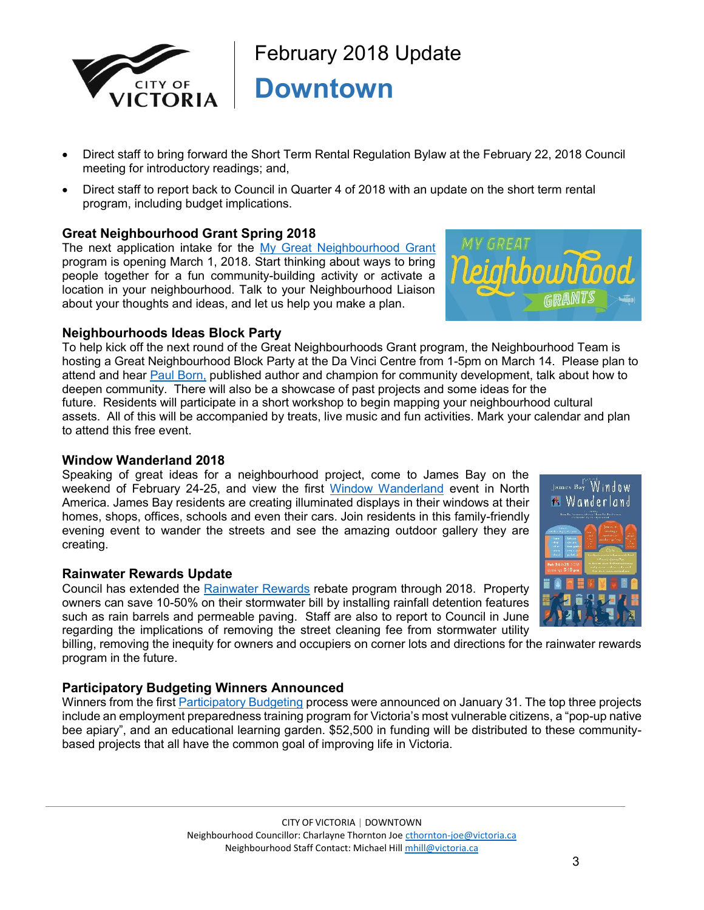

- Direct staff to bring forward the Short Term Rental Regulation Bylaw at the February 22, 2018 Council meeting for introductory readings; and,
- Direct staff to report back to Council in Quarter 4 of 2018 with an update on the short term rental program, including budget implications.

#### **Great Neighbourhood Grant Spring 2018**

The next application intake for the [My Great Neighbourhood Grant](http://www.victoria.ca/EN/main/residents/neighbourhoods/my-great-neighbourhood-grant-program.html) program is opening March 1, 2018. Start thinking about ways to bring people together for a fun community-building activity or activate a location in your neighbourhood. Talk to your Neighbourhood Liaison about your thoughts and ideas, and let us help you make a plan.



#### **Neighbourhoods Ideas Block Party**

To help kick off the next round of the Great Neighbourhoods Grant program, the Neighbourhood Team is hosting a Great Neighbourhood Block Party at the Da Vinci Centre from 1-5pm on March 14. Please plan to attend and hear [Paul Born,](https://www.bing.com/videos/search?q=paul+born+tamarack&&view=detail&mid=FAFAF83DA8DD3054C994FAFAF83DA8DD3054C994&&FORM=VDRVRV) published author and champion for community development, talk about how to deepen community. There will also be a showcase of past projects and some ideas for the future. Residents will participate in a short workshop to begin mapping your neighbourhood cultural assets. All of this will be accompanied by treats, live music and fun activities. Mark your calendar and plan to attend this free event.

#### **Window Wanderland 2018**

Speaking of great ideas for a neighbourhood project, come to James Bay on the weekend of February 24-25, and view the first [Window Wanderland](https://windowwanderland.com/event/james-bay-victoria-canada/) event in North America. James Bay residents are creating illuminated displays in their windows at their homes, shops, offices, schools and even their cars. Join residents in this family-friendly evening event to wander the streets and see the amazing outdoor gallery they are creating.

#### **Rainwater Rewards Update**

Council has extended the [Rainwater Rewards](http://www.victoria.ca/EN/main/residents/water-sewer-stormwater/stormwater/rainwater_rewards_program.html) rebate program through 2018. Property owners can save 10-50% on their stormwater bill by installing rainfall detention features such as rain barrels and permeable paving. Staff are also to report to Council in June regarding the implications of removing the street cleaning fee from stormwater utility

billing, removing the inequity for owners and occupiers on corner lots and directions for the rainwater rewards program in the future.

#### **Participatory Budgeting Winners Announced**

Winners from the first [Participatory Budgeting](http://www.victoria.ca/EN/main/city/current-initiatives/participatory-budgeting.html) process were announced on January 31. The top three projects include an employment preparedness training program for Victoria's most vulnerable citizens, a "pop-up native bee apiary", and an educational learning garden. \$52,500 in funding will be distributed to these communitybased projects that all have the common goal of improving life in Victoria.